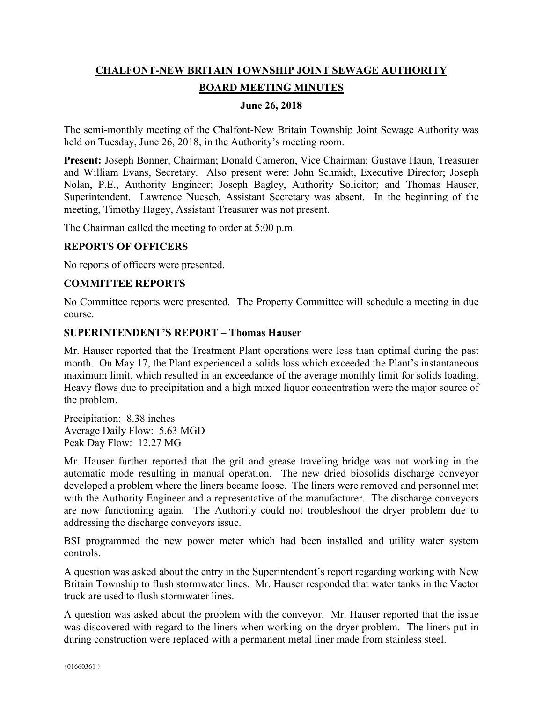# **CHALFONT-NEW BRITAIN TOWNSHIP JOINT SEWAGE AUTHORITY BOARD MEETING MINUTES**

## **June 26, 2018**

The semi-monthly meeting of the Chalfont-New Britain Township Joint Sewage Authority was held on Tuesday, June 26, 2018, in the Authority's meeting room.

**Present:** Joseph Bonner, Chairman; Donald Cameron, Vice Chairman; Gustave Haun, Treasurer and William Evans, Secretary. Also present were: John Schmidt, Executive Director; Joseph Nolan, P.E., Authority Engineer; Joseph Bagley, Authority Solicitor; and Thomas Hauser, Superintendent. Lawrence Nuesch, Assistant Secretary was absent. In the beginning of the meeting, Timothy Hagey, Assistant Treasurer was not present.

The Chairman called the meeting to order at 5:00 p.m.

#### **REPORTS OF OFFICERS**

No reports of officers were presented.

## **COMMITTEE REPORTS**

No Committee reports were presented. The Property Committee will schedule a meeting in due course.

#### **SUPERINTENDENT'S REPORT – Thomas Hauser**

Mr. Hauser reported that the Treatment Plant operations were less than optimal during the past month. On May 17, the Plant experienced a solids loss which exceeded the Plant's instantaneous maximum limit, which resulted in an exceedance of the average monthly limit for solids loading. Heavy flows due to precipitation and a high mixed liquor concentration were the major source of the problem.

Precipitation: 8.38 inches Average Daily Flow: 5.63 MGD Peak Day Flow: 12.27 MG

Mr. Hauser further reported that the grit and grease traveling bridge was not working in the automatic mode resulting in manual operation. The new dried biosolids discharge conveyor developed a problem where the liners became loose. The liners were removed and personnel met with the Authority Engineer and a representative of the manufacturer. The discharge conveyors are now functioning again. The Authority could not troubleshoot the dryer problem due to addressing the discharge conveyors issue.

BSI programmed the new power meter which had been installed and utility water system controls.

A question was asked about the entry in the Superintendent's report regarding working with New Britain Township to flush stormwater lines. Mr. Hauser responded that water tanks in the Vactor truck are used to flush stormwater lines.

A question was asked about the problem with the conveyor. Mr. Hauser reported that the issue was discovered with regard to the liners when working on the dryer problem. The liners put in during construction were replaced with a permanent metal liner made from stainless steel.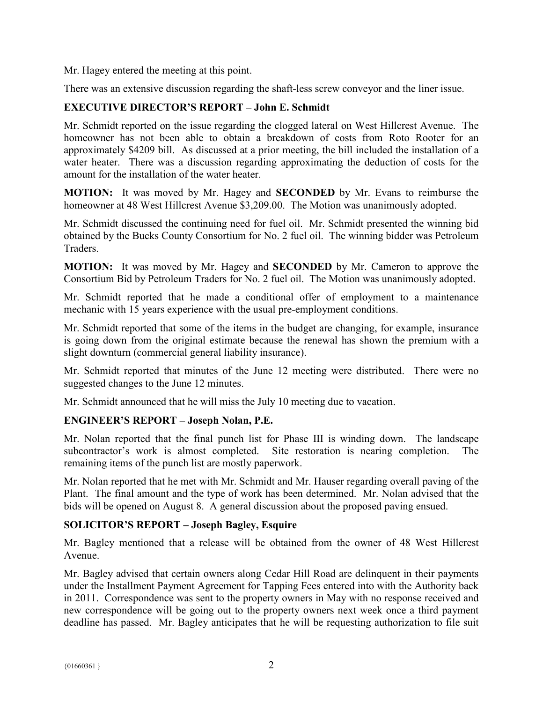Mr. Hagey entered the meeting at this point.

There was an extensive discussion regarding the shaft-less screw conveyor and the liner issue.

# **EXECUTIVE DIRECTOR'S REPORT – John E. Schmidt**

Mr. Schmidt reported on the issue regarding the clogged lateral on West Hillcrest Avenue. The homeowner has not been able to obtain a breakdown of costs from Roto Rooter for an approximately \$4209 bill. As discussed at a prior meeting, the bill included the installation of a water heater. There was a discussion regarding approximating the deduction of costs for the amount for the installation of the water heater.

**MOTION:** It was moved by Mr. Hagey and **SECONDED** by Mr. Evans to reimburse the homeowner at 48 West Hillcrest Avenue \$3,209.00. The Motion was unanimously adopted.

Mr. Schmidt discussed the continuing need for fuel oil. Mr. Schmidt presented the winning bid obtained by the Bucks County Consortium for No. 2 fuel oil. The winning bidder was Petroleum Traders.

**MOTION:** It was moved by Mr. Hagey and **SECONDED** by Mr. Cameron to approve the Consortium Bid by Petroleum Traders for No. 2 fuel oil. The Motion was unanimously adopted.

Mr. Schmidt reported that he made a conditional offer of employment to a maintenance mechanic with 15 years experience with the usual pre-employment conditions.

Mr. Schmidt reported that some of the items in the budget are changing, for example, insurance is going down from the original estimate because the renewal has shown the premium with a slight downturn (commercial general liability insurance).

Mr. Schmidt reported that minutes of the June 12 meeting were distributed. There were no suggested changes to the June 12 minutes.

Mr. Schmidt announced that he will miss the July 10 meeting due to vacation.

# **ENGINEER'S REPORT – Joseph Nolan, P.E.**

Mr. Nolan reported that the final punch list for Phase III is winding down. The landscape subcontractor's work is almost completed. Site restoration is nearing completion. The remaining items of the punch list are mostly paperwork.

Mr. Nolan reported that he met with Mr. Schmidt and Mr. Hauser regarding overall paving of the Plant. The final amount and the type of work has been determined. Mr. Nolan advised that the bids will be opened on August 8. A general discussion about the proposed paving ensued.

# **SOLICITOR'S REPORT – Joseph Bagley, Esquire**

Mr. Bagley mentioned that a release will be obtained from the owner of 48 West Hillcrest Avenue.

Mr. Bagley advised that certain owners along Cedar Hill Road are delinquent in their payments under the Installment Payment Agreement for Tapping Fees entered into with the Authority back in 2011. Correspondence was sent to the property owners in May with no response received and new correspondence will be going out to the property owners next week once a third payment deadline has passed. Mr. Bagley anticipates that he will be requesting authorization to file suit